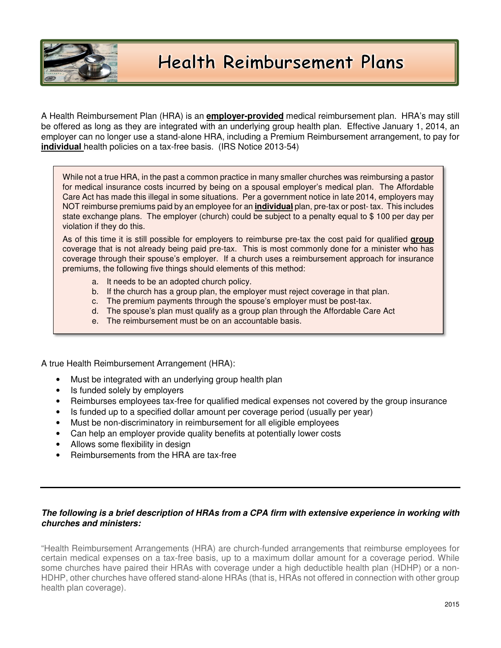

A Health Reimbursement Plan (HRA) is an **employer-provided** medical reimbursement plan. HRA's may still be offered as long as they are integrated with an underlying group health plan. Effective January 1, 2014, an employer can no longer use a stand-alone HRA, including a Premium Reimbursement arrangement, to pay for **individual** health policies on a tax-free basis. (IRS Notice 2013-54)

While not a true HRA, in the past a common practice in many smaller churches was reimbursing a pastor for medical insurance costs incurred by being on a spousal employer's medical plan. The Affordable Care Act has made this illegal in some situations. Per a government notice in late 2014, employers may NOT reimburse premiums paid by an employee for an **individual** plan, pre-tax or post- tax. This includes state exchange plans. The employer (church) could be subject to a penalty equal to \$ 100 per day per violation if they do this.

As of this time it is still possible for employers to reimburse pre-tax the cost paid for qualified **group** coverage that is not already being paid pre-tax. This is most commonly done for a minister who has coverage through their spouse's employer. If a church uses a reimbursement approach for insurance premiums, the following five things should elements of this method:

- a. It needs to be an adopted church policy.
- b. If the church has a group plan, the employer must reject coverage in that plan.
- c. The premium payments through the spouse's employer must be post-tax.
- d. The spouse's plan must qualify as a group plan through the Affordable Care Act
- e. The reimbursement must be on an accountable basis.

A true Health Reimbursement Arrangement (HRA):

- Must be integrated with an underlying group health plan
- Is funded solely by employers
- Reimburses employees tax-free for qualified medical expenses not covered by the group insurance
- Is funded up to a specified dollar amount per coverage period (usually per year)
- Must be non-discriminatory in reimbursement for all eligible employees
- Can help an employer provide quality benefits at potentially lower costs
- Allows some flexibility in design
- Reimbursements from the HRA are tax-free

## **The following is a brief description of HRAs from a CPA firm with extensive experience in working with churches and ministers:**

"Health Reimbursement Arrangements (HRA) are church-funded arrangements that reimburse employees for certain medical expenses on a tax-free basis, up to a maximum dollar amount for a coverage period. While some churches have paired their HRAs with coverage under a high deductible health plan (HDHP) or a non-HDHP, other churches have offered stand-alone HRAs (that is, HRAs not offered in connection with other group health plan coverage).